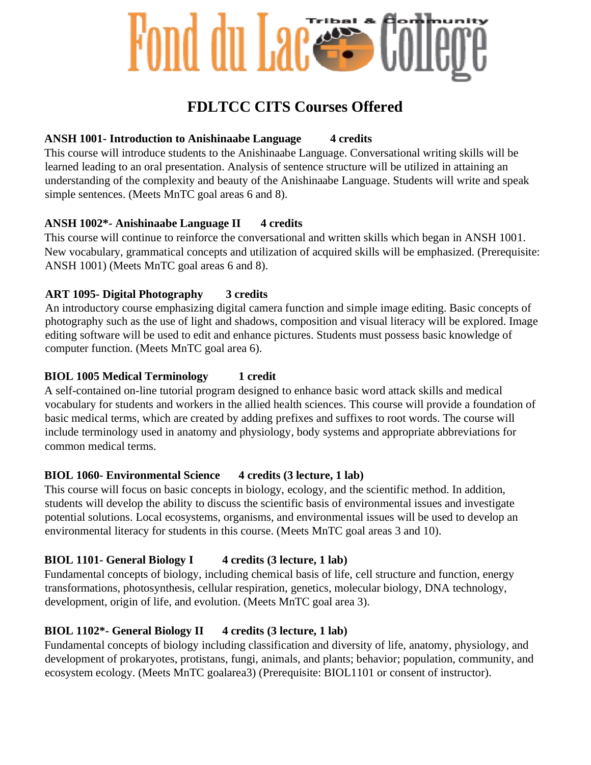## Fond du Lac

## **FDLTCC CITS Courses Offered**

#### **ANSH 1001-** Introduction to Anishinaabe Language 4 credits

This course will introduce students to the Anishinaabe Language. Conversational writing skills will be learned leading to an oral presentation. Analysis of sentence structure will be utilized in attaining an understanding of the complexity and beauty of the Anishinaabe Language. Students will write and speak simple sentences. (Meets MnTC goal areas 6 and 8).

## **ANSH 1002\*- Anishinaabe Language II 4 credits**

This course will continue to reinforce the conversational and written skills which began in ANSH 1001. New vocabulary, grammatical concepts and utilization of acquired skills will be emphasized. (Prerequisite: ANSH 1001) (Meets MnTC goal areas 6 and 8).

## **ART 1095- Digital Photography 3 credits**

An introductory course emphasizing digital camera function and simple image editing. Basic concepts of photography such as the use of light and shadows, composition and visual literacy will be explored. Image editing software will be used to edit and enhance pictures. Students must possess basic knowledge of computer function. (Meets MnTC goal area 6).

#### **BIOL 1005 Medical Terminology 1 credit**

A self-contained on-line tutorial program designed to enhance basic word attack skills and medical vocabulary for students and workers in the allied health sciences. This course will provide a foundation of basic medical terms, which are created by adding prefixes and suffixes to root words. The course will include terminology used in anatomy and physiology, body systems and appropriate abbreviations for common medical terms.

## **BIOL 1060- Environmental Science 4 credits (3 lecture, 1 lab)**

This course will focus on basic concepts in biology, ecology, and the scientific method. In addition, students will develop the ability to discuss the scientific basis of environmental issues and investigate potential solutions. Local ecosystems, organisms, and environmental issues will be used to develop an environmental literacy for students in this course. (Meets MnTC goal areas 3 and 10).

## **BIOL 1101-** General Biology I 4 credits (3 lecture, 1 lab)

Fundamental concepts of biology, including chemical basis of life, cell structure and function, energy transformations, photosynthesis, cellular respiration, genetics, molecular biology, DNA technology, development, origin of life, and evolution. (Meets MnTC goal area 3).

## **BIOL 1102\*- General Biology II 4 credits (3 lecture, 1 lab)**

Fundamental concepts of biology including classification and diversity of life, anatomy, physiology, and development of prokaryotes, protistans, fungi, animals, and plants; behavior; population, community, and ecosystem ecology. (Meets MnTC goalarea3) (Prerequisite: BIOL1101 or consent of instructor).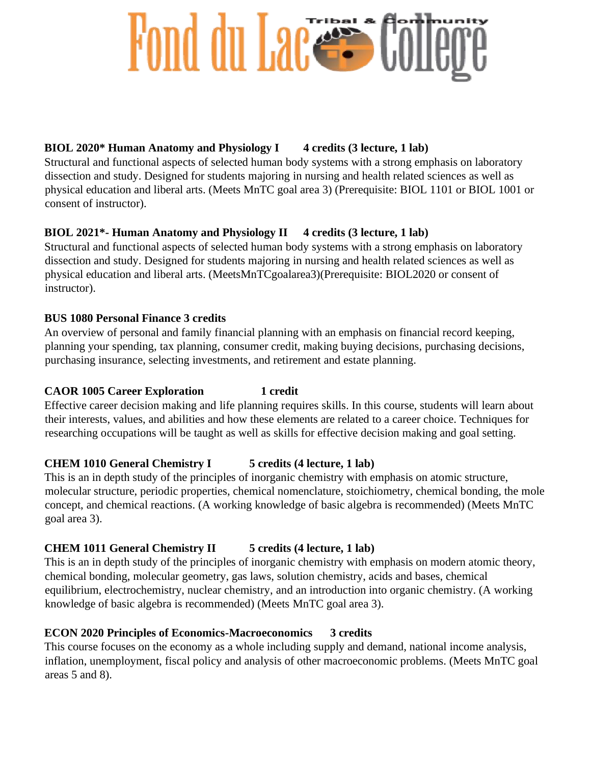## Fond du Lacess C

## **BIOL 2020\* Human Anatomy and Physiology I 4 credits (3 lecture, 1 lab)**

Structural and functional aspects of selected human body systems with a strong emphasis on laboratory dissection and study. Designed for students majoring in nursing and health related sciences as well as physical education and liberal arts. (Meets MnTC goal area 3) (Prerequisite: BIOL 1101 or BIOL 1001 or consent of instructor).

## **BIOL 2021\*- Human Anatomy and Physiology II 4 credits (3 lecture, 1 lab)**

Structural and functional aspects of selected human body systems with a strong emphasis on laboratory dissection and study. Designed for students majoring in nursing and health related sciences as well as physical education and liberal arts. (MeetsMnTCgoalarea3)(Prerequisite: BIOL2020 or consent of instructor).

## **BUS 1080 Personal Finance 3 credits**

An overview of personal and family financial planning with an emphasis on financial record keeping, planning your spending, tax planning, consumer credit, making buying decisions, purchasing decisions, purchasing insurance, selecting investments, and retirement and estate planning.

## **CAOR 1005 Career Exploration 1 credit**

Effective career decision making and life planning requires skills. In this course, students will learn about their interests, values, and abilities and how these elements are related to a career choice. Techniques for researching occupations will be taught as well as skills for effective decision making and goal setting.

## **CHEM 1010 General Chemistry I 5 credits (4 lecture, 1 lab)**

This is an in depth study of the principles of inorganic chemistry with emphasis on atomic structure, molecular structure, periodic properties, chemical nomenclature, stoichiometry, chemical bonding, the mole concept, and chemical reactions. (A working knowledge of basic algebra is recommended) (Meets MnTC goal area 3).

## **CHEM 1011 General Chemistry II 5 credits (4 lecture, 1 lab)**

This is an in depth study of the principles of inorganic chemistry with emphasis on modern atomic theory, chemical bonding, molecular geometry, gas laws, solution chemistry, acids and bases, chemical equilibrium, electrochemistry, nuclear chemistry, and an introduction into organic chemistry. (A working knowledge of basic algebra is recommended) (Meets MnTC goal area 3).

## **ECON 2020 Principles of Economics-Macroeconomics 3 credits**

This course focuses on the economy as a whole including supply and demand, national income analysis, inflation, unemployment, fiscal policy and analysis of other macroeconomic problems. (Meets MnTC goal areas 5 and 8).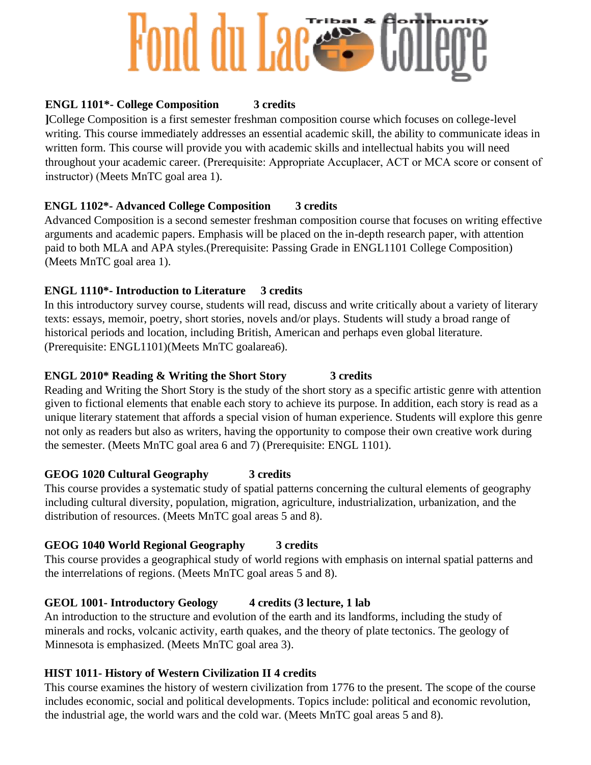# Fond du Laces

## **ENGL 1101\*- College Composition 3 credits**

**]**College Composition is a first semester freshman composition course which focuses on college-level writing. This course immediately addresses an essential academic skill, the ability to communicate ideas in written form. This course will provide you with academic skills and intellectual habits you will need throughout your academic career. (Prerequisite: Appropriate Accuplacer, ACT or MCA score or consent of instructor) (Meets MnTC goal area 1).

## **ENGL 1102\*- Advanced College Composition 3 credits**

Advanced Composition is a second semester freshman composition course that focuses on writing effective arguments and academic papers. Emphasis will be placed on the in-depth research paper, with attention paid to both MLA and APA styles.(Prerequisite: Passing Grade in ENGL1101 College Composition) (Meets MnTC goal area 1).

## **ENGL 1110\*- Introduction to Literature 3 credits**

In this introductory survey course, students will read, discuss and write critically about a variety of literary texts: essays, memoir, poetry, short stories, novels and/or plays. Students will study a broad range of historical periods and location, including British, American and perhaps even global literature. (Prerequisite: ENGL1101)(Meets MnTC goalarea6).

## **ENGL 2010\* Reading & Writing the Short Story 3 credits**

Reading and Writing the Short Story is the study of the short story as a specific artistic genre with attention given to fictional elements that enable each story to achieve its purpose. In addition, each story is read as a unique literary statement that affords a special vision of human experience. Students will explore this genre not only as readers but also as writers, having the opportunity to compose their own creative work during the semester. (Meets MnTC goal area 6 and 7) (Prerequisite: ENGL 1101).

## **GEOG 1020 Cultural Geography 3 credits**

This course provides a systematic study of spatial patterns concerning the cultural elements of geography including cultural diversity, population, migration, agriculture, industrialization, urbanization, and the distribution of resources. (Meets MnTC goal areas 5 and 8).

## **GEOG 1040 World Regional Geography 3 credits**

This course provides a geographical study of world regions with emphasis on internal spatial patterns and the interrelations of regions. (Meets MnTC goal areas 5 and 8).

## **GEOL 1001- Introductory Geology 4 credits (3 lecture, 1 lab**

An introduction to the structure and evolution of the earth and its landforms, including the study of minerals and rocks, volcanic activity, earth quakes, and the theory of plate tectonics. The geology of Minnesota is emphasized. (Meets MnTC goal area 3).

## **HIST 1011- History of Western Civilization II 4 credits**

This course examines the history of western civilization from 1776 to the present. The scope of the course includes economic, social and political developments. Topics include: political and economic revolution, the industrial age, the world wars and the cold war. (Meets MnTC goal areas 5 and 8).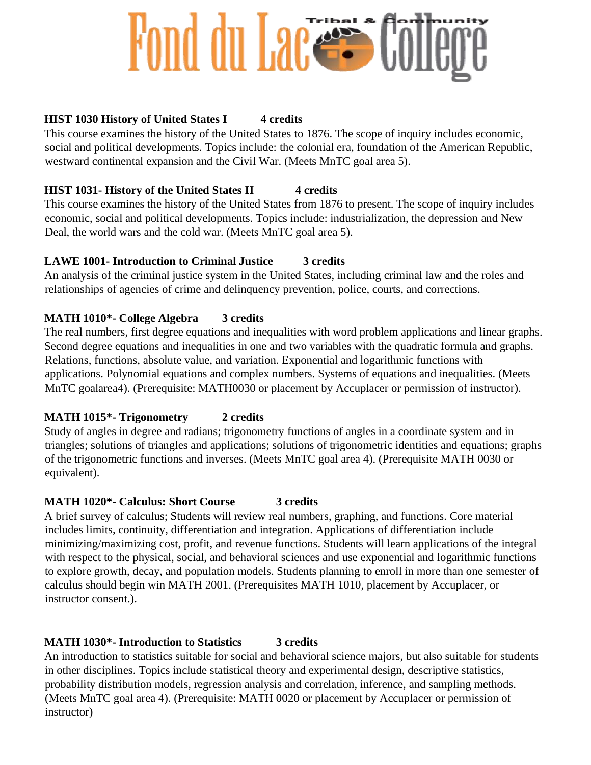## Fond du Laces

## **HIST 1030 History of United States I 4 credits**

This course examines the history of the United States to 1876. The scope of inquiry includes economic, social and political developments. Topics include: the colonial era, foundation of the American Republic, westward continental expansion and the Civil War. (Meets MnTC goal area 5).

## **HIST 1031- History of the United States II 4 credits**

This course examines the history of the United States from 1876 to present. The scope of inquiry includes economic, social and political developments. Topics include: industrialization, the depression and New Deal, the world wars and the cold war. (Meets MnTC goal area 5).

## **LAWE 1001- Introduction to Criminal Justice 3 credits**

An analysis of the criminal justice system in the United States, including criminal law and the roles and relationships of agencies of crime and delinquency prevention, police, courts, and corrections.

## **MATH 1010\*- College Algebra 3 credits**

The real numbers, first degree equations and inequalities with word problem applications and linear graphs. Second degree equations and inequalities in one and two variables with the quadratic formula and graphs. Relations, functions, absolute value, and variation. Exponential and logarithmic functions with applications. Polynomial equations and complex numbers. Systems of equations and inequalities. (Meets MnTC goalarea4). (Prerequisite: MATH0030 or placement by Accuplacer or permission of instructor).

## **MATH 1015\*- Trigonometry 2 credits**

Study of angles in degree and radians; trigonometry functions of angles in a coordinate system and in triangles; solutions of triangles and applications; solutions of trigonometric identities and equations; graphs of the trigonometric functions and inverses. (Meets MnTC goal area 4). (Prerequisite MATH 0030 or equivalent).

## **MATH 1020\*- Calculus: Short Course 3 credits**

A brief survey of calculus; Students will review real numbers, graphing, and functions. Core material includes limits, continuity, differentiation and integration. Applications of differentiation include minimizing/maximizing cost, profit, and revenue functions. Students will learn applications of the integral with respect to the physical, social, and behavioral sciences and use exponential and logarithmic functions to explore growth, decay, and population models. Students planning to enroll in more than one semester of calculus should begin win MATH 2001. (Prerequisites MATH 1010, placement by Accuplacer, or instructor consent.).

## **MATH 1030\*- Introduction to Statistics 3 credits**

An introduction to statistics suitable for social and behavioral science majors, but also suitable for students in other disciplines. Topics include statistical theory and experimental design, descriptive statistics, probability distribution models, regression analysis and correlation, inference, and sampling methods. (Meets MnTC goal area 4). (Prerequisite: MATH 0020 or placement by Accuplacer or permission of instructor)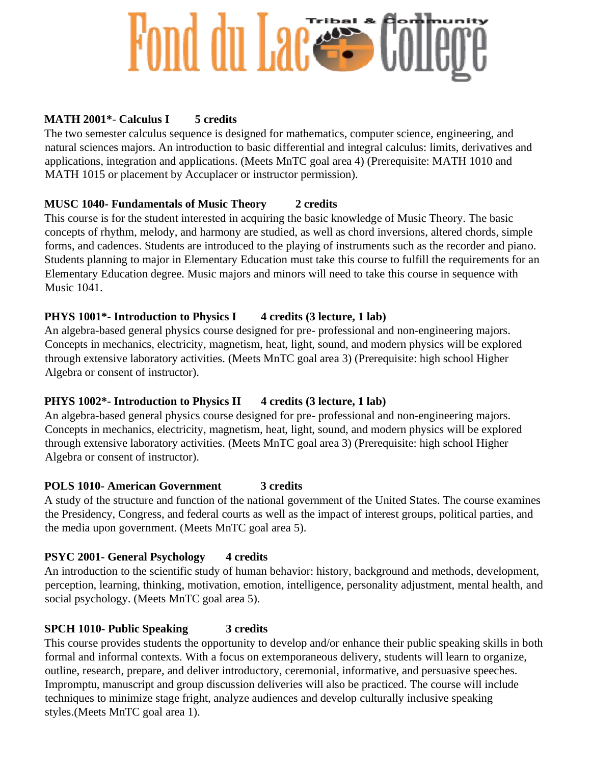# Fond du Laces

## **MATH 2001\***- **Calculus I 5 credits**

The two semester calculus sequence is designed for mathematics, computer science, engineering, and natural sciences majors. An introduction to basic differential and integral calculus: limits, derivatives and applications, integration and applications. (Meets MnTC goal area 4) (Prerequisite: MATH 1010 and MATH 1015 or placement by Accuplacer or instructor permission).

## **MUSC 1040- Fundamentals of Music Theory 2 credits**

This course is for the student interested in acquiring the basic knowledge of Music Theory. The basic concepts of rhythm, melody, and harmony are studied, as well as chord inversions, altered chords, simple forms, and cadences. Students are introduced to the playing of instruments such as the recorder and piano. Students planning to major in Elementary Education must take this course to fulfill the requirements for an Elementary Education degree. Music majors and minors will need to take this course in sequence with Music 1041.

## **PHYS 1001\*- Introduction to Physics I** 4 credits (3 lecture, 1 lab)

An algebra-based general physics course designed for pre- professional and non-engineering majors. Concepts in mechanics, electricity, magnetism, heat, light, sound, and modern physics will be explored through extensive laboratory activities. (Meets MnTC goal area 3) (Prerequisite: high school Higher Algebra or consent of instructor).

## **PHYS 1002\*- Introduction to Physics II** 4 credits (3 lecture, 1 lab)

An algebra-based general physics course designed for pre- professional and non-engineering majors. Concepts in mechanics, electricity, magnetism, heat, light, sound, and modern physics will be explored through extensive laboratory activities. (Meets MnTC goal area 3) (Prerequisite: high school Higher Algebra or consent of instructor).

## **POLS 1010- American Government 3 credits**

A study of the structure and function of the national government of the United States. The course examines the Presidency, Congress, and federal courts as well as the impact of interest groups, political parties, and the media upon government. (Meets MnTC goal area 5).

## **PSYC 2001- General Psychology 4 credits**

An introduction to the scientific study of human behavior: history, background and methods, development, perception, learning, thinking, motivation, emotion, intelligence, personality adjustment, mental health, and social psychology. (Meets MnTC goal area 5).

## **SPCH 1010- Public Speaking 3 credits**

This course provides students the opportunity to develop and/or enhance their public speaking skills in both formal and informal contexts. With a focus on extemporaneous delivery, students will learn to organize, outline, research, prepare, and deliver introductory, ceremonial, informative, and persuasive speeches. Impromptu, manuscript and group discussion deliveries will also be practiced. The course will include techniques to minimize stage fright, analyze audiences and develop culturally inclusive speaking styles.(Meets MnTC goal area 1).